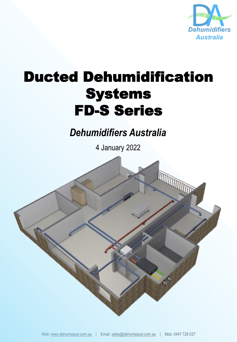

## Ducted Dehumidification Systems FD-S Series

*Dehumidifiers Australia*

4 January 2022

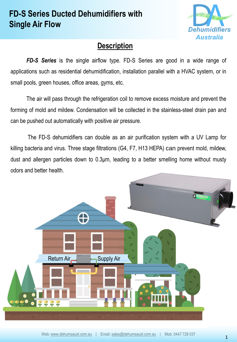## **FD-S Series Ducted Dehumidifiers with Single Air Flow**



## **Description**

*FD-S Series* is the single airflow type. FD-S Series are good in a wide range of applications such as residential dehumidification, installation parallel with a HVAC system, or in small pools, green houses, office areas, gyms, etc.

The air will pass through the refrigeration coil to remove excess moisture and prevent the forming of mold and mildew. Condensation will be collected in the stainless-steel drain pan and can be pushed out automatically with positive air pressure.

The FD-S dehumidifiers can double as an air purification system with a UV Lamp for killing bacteria and virus. Three stage filtrations (G4, F7, H13 HEPA) can prevent mold, mildew, dust and allergen particles down to 0.3μm, leading to a better smelling home without musty odors and better health.

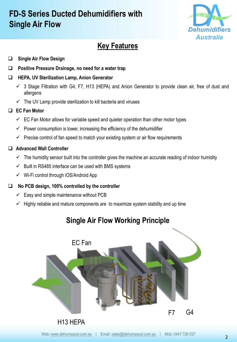## **FD-S Series Ducted Dehumidifiers with Single Air Flow**



## **Key Features**

#### ❑ **Single Air Flow Design**

❑ **Positive Pressure Drainage, no need for a water trap**

#### ❑ **HEPA, UV Sterilization Lamp, Anion Generator**

- $\checkmark$  3 Stage Filtration with G4, F7, H13 (HEPA) and Anion Generator to provide clean air, free of dust and allergens
- $\checkmark$  The UV Lamp provide sterilization to kill bacteria and viruses

#### ❑ **EC Fan Motor**

- $\checkmark$  EC Fan Motor allows for variable speed and quieter operation than other motor types
- $\checkmark$  Power consumption is lower, increasing the efficiency of the dehumidifier
- $\checkmark$  Precise control of fan speed to match your existing system or air flow requirements

#### ❑ **Advanced Wall Controller**

- $\checkmark$  The humidity sensor built into the controller gives the machine an accurate reading of indoor humidity
- $\checkmark$  Built in RS485 interface can be used with BMS systems
- ✓ Wi-Fi control through iOS/Android App

#### ❑ **No PCB design, 100% controlled by the controller**

- $\checkmark$  Easy and simple maintenance without PCB
- $\checkmark$  Highly reliable and mature components are to maximize system stability and up time

# F7 G4 H13 HEPA EC Fan

## **Single Air Flow Working Principle**